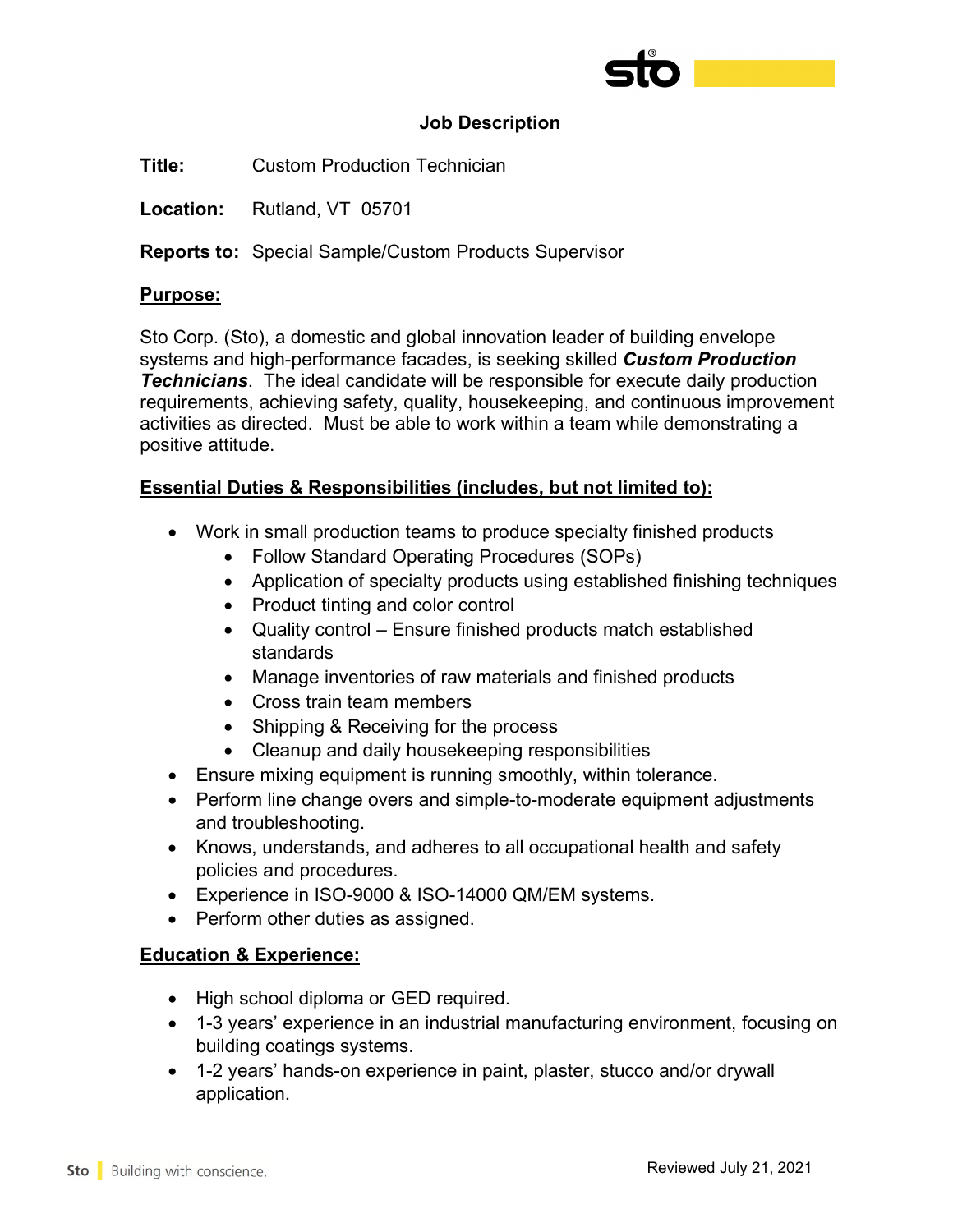

### **Job Description**

**Title:** Custom Production Technician

**Location:** Rutland, VT 05701

**Reports to:** Special Sample/Custom Products Supervisor

### **Purpose:**

Sto Corp. (Sto), a domestic and global innovation leader of building envelope systems and high-performance facades, is seeking skilled *Custom Production Technicians*. The ideal candidate will be responsible for execute daily production requirements, achieving safety, quality, housekeeping, and continuous improvement activities as directed. Must be able to work within a team while demonstrating a positive attitude.

## **Essential Duties & Responsibilities (includes, but not limited to):**

- Work in small production teams to produce specialty finished products
	- Follow Standard Operating Procedures (SOPs)
	- Application of specialty products using established finishing techniques
	- Product tinting and color control
	- Quality control Ensure finished products match established standards
	- Manage inventories of raw materials and finished products
	- Cross train team members
	- Shipping & Receiving for the process
	- Cleanup and daily housekeeping responsibilities
- Ensure mixing equipment is running smoothly, within tolerance.
- Perform line change overs and simple-to-moderate equipment adjustments and troubleshooting.
- Knows, understands, and adheres to all occupational health and safety policies and procedures.
- Experience in ISO-9000 & ISO-14000 QM/EM systems.
- Perform other duties as assigned.

#### **Education & Experience:**

- High school diploma or GED required.
- 1-3 years' experience in an industrial manufacturing environment, focusing on building coatings systems.
- 1-2 years' hands-on experience in paint, plaster, stucco and/or drywall application.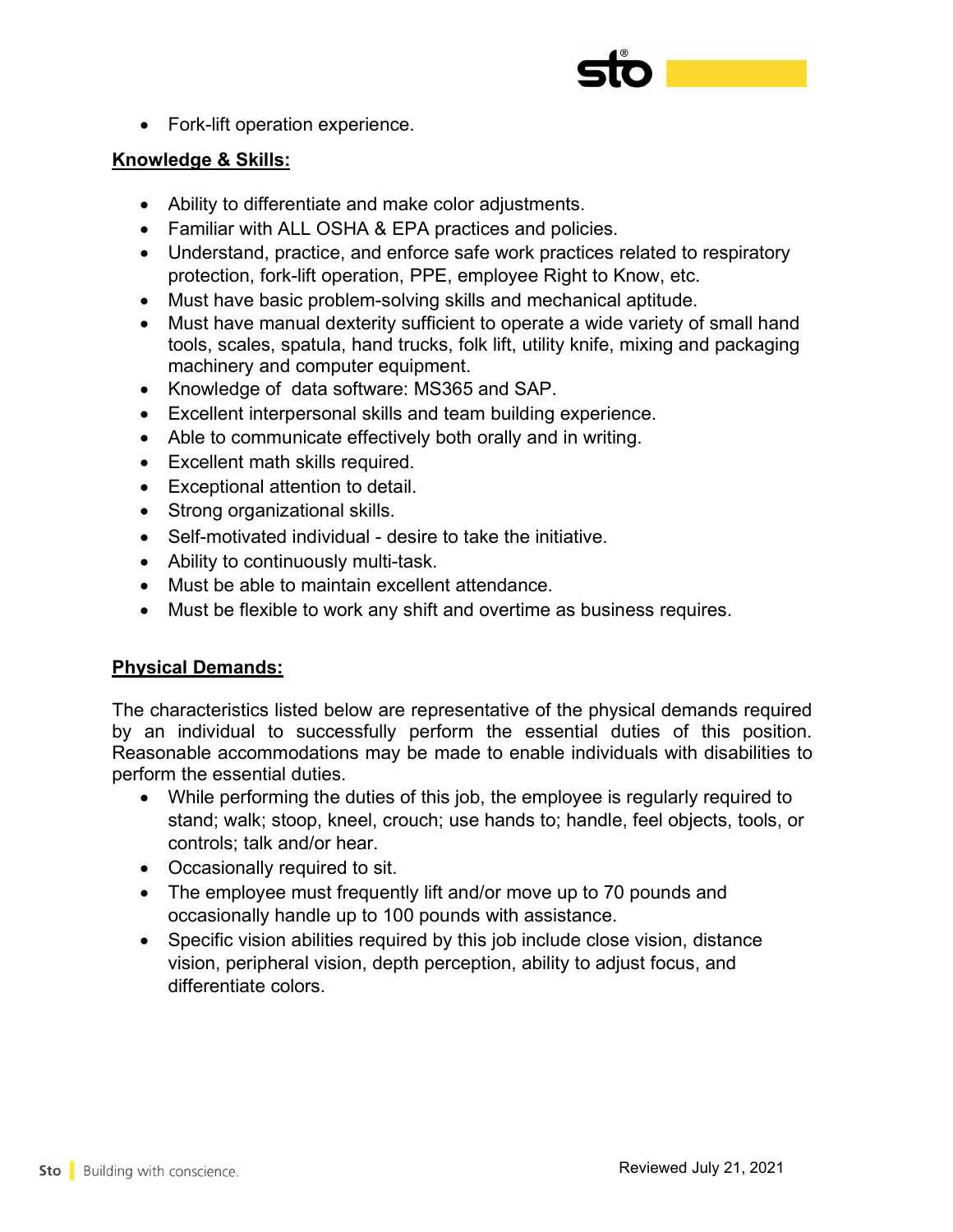

• Fork-lift operation experience.

## **Knowledge & Skills:**

- Ability to differentiate and make color adjustments.
- Familiar with ALL OSHA & EPA practices and policies.
- Understand, practice, and enforce safe work practices related to respiratory protection, fork-lift operation, PPE, employee Right to Know, etc.
- Must have basic problem-solving skills and mechanical aptitude.
- Must have manual dexterity sufficient to operate a wide variety of small hand tools, scales, spatula, hand trucks, folk lift, utility knife, mixing and packaging machinery and computer equipment.
- Knowledge of data software: MS365 and SAP.
- Excellent interpersonal skills and team building experience.
- Able to communicate effectively both orally and in writing.
- Excellent math skills required.
- Exceptional attention to detail.
- Strong organizational skills.
- Self-motivated individual desire to take the initiative.
- Ability to continuously multi-task.
- Must be able to maintain excellent attendance.
- Must be flexible to work any shift and overtime as business requires.

# **Physical Demands:**

The characteristics listed below are representative of the physical demands required by an individual to successfully perform the essential duties of this position. Reasonable accommodations may be made to enable individuals with disabilities to perform the essential duties.

- While performing the duties of this job, the employee is regularly required to stand; walk; stoop, kneel, crouch; use hands to; handle, feel objects, tools, or controls; talk and/or hear.
- Occasionally required to sit.
- The employee must frequently lift and/or move up to 70 pounds and occasionally handle up to 100 pounds with assistance.
- Specific vision abilities required by this job include close vision, distance vision, peripheral vision, depth perception, ability to adjust focus, and differentiate colors.